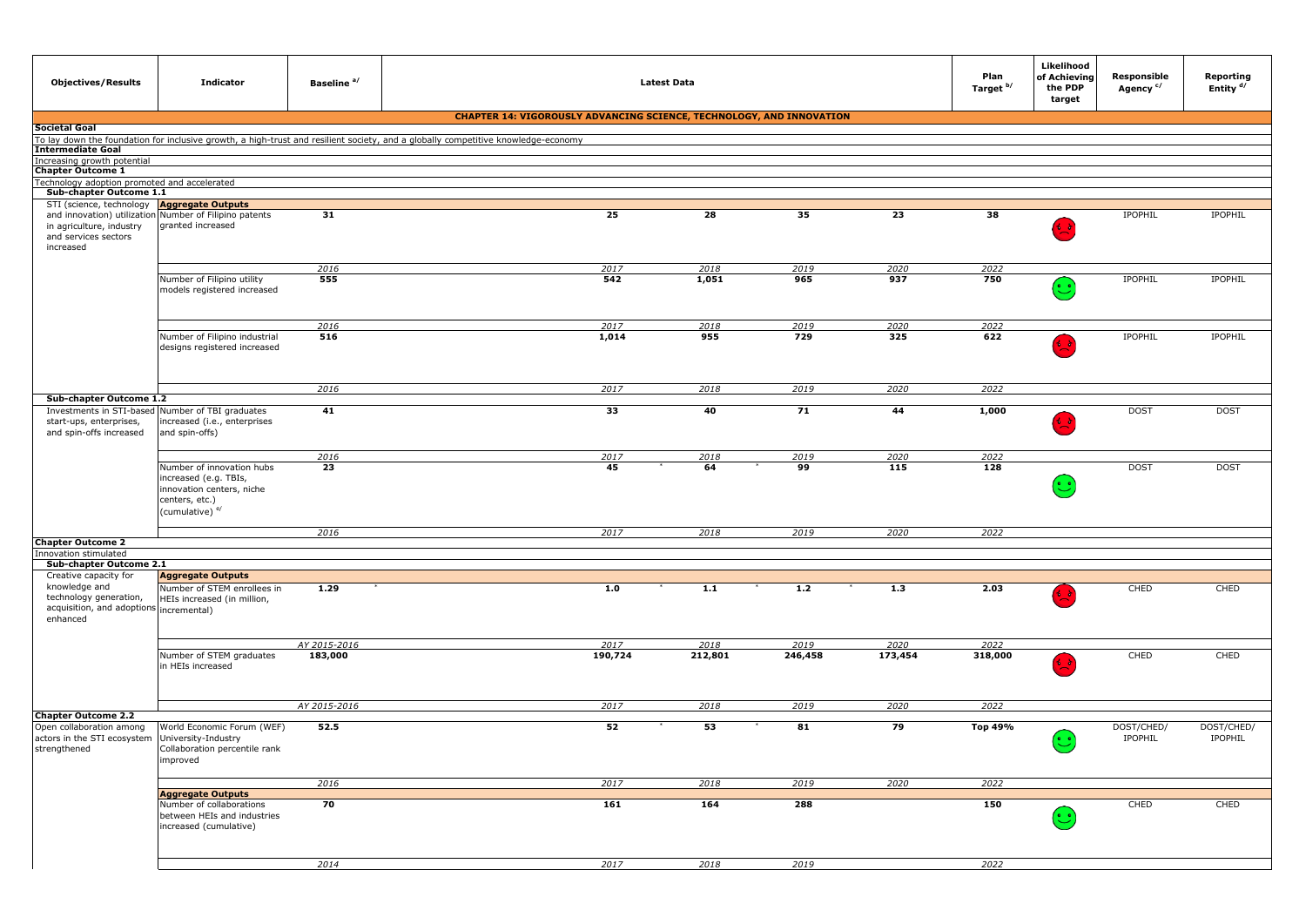| <b>Objectives/Results</b>                                                                      | <b>Indicator</b>                                                                                                                | Baseline <sup>a/</sup> | <b>Latest Data</b>                                                                                                                |         |         |         |         | Plan<br>Target b/ | Likelihood<br>of Achieving<br>the PDP<br>target | Responsible<br>Agency <sup>c/</sup> | Reporting<br>Entity <sup>d/</sup> |
|------------------------------------------------------------------------------------------------|---------------------------------------------------------------------------------------------------------------------------------|------------------------|-----------------------------------------------------------------------------------------------------------------------------------|---------|---------|---------|---------|-------------------|-------------------------------------------------|-------------------------------------|-----------------------------------|
|                                                                                                |                                                                                                                                 |                        | <b>CHAPTER 14: VIGOROUSLY ADVANCING SCIENCE, TECHNOLOGY, AND INNOVATION</b>                                                       |         |         |         |         |                   |                                                 |                                     |                                   |
| <b>Societal Goal</b>                                                                           |                                                                                                                                 |                        |                                                                                                                                   |         |         |         |         |                   |                                                 |                                     |                                   |
|                                                                                                |                                                                                                                                 |                        | To lay down the foundation for inclusive growth, a high-trust and resilient society, and a globally competitive knowledge-economy |         |         |         |         |                   |                                                 |                                     |                                   |
| <b>Intermediate Goal</b><br>Increasing growth potential                                        |                                                                                                                                 |                        |                                                                                                                                   |         |         |         |         |                   |                                                 |                                     |                                   |
| <b>Chapter Outcome 1</b>                                                                       |                                                                                                                                 |                        |                                                                                                                                   |         |         |         |         |                   |                                                 |                                     |                                   |
| Technology adoption promoted and accelerated                                                   |                                                                                                                                 |                        |                                                                                                                                   |         |         |         |         |                   |                                                 |                                     |                                   |
| Sub-chapter Outcome 1.1<br>STI (science, technology                                            |                                                                                                                                 |                        |                                                                                                                                   |         |         |         |         |                   |                                                 |                                     |                                   |
| in agriculture, industry<br>and services sectors<br>increased                                  | <b>Aggregate Outputs</b><br>and innovation) utilization Number of Filipino patents<br>granted increased                         | 31                     |                                                                                                                                   | 25      | 28      | 35      | 23      | 38                | $\sim$ $\sim$                                   | IPOPHIL                             | IPOPHIL                           |
|                                                                                                |                                                                                                                                 | 2016                   |                                                                                                                                   | 2017    | 2018    | 2019    | 2020    | 2022              |                                                 |                                     |                                   |
|                                                                                                | Number of Filipino utility<br>models registered increased                                                                       | 555                    |                                                                                                                                   | 542     | 1,051   | 965     | 937     | 750               | $(\ddot{\mathbb{C}})$                           | IPOPHIL                             | <b>IPOPHIL</b>                    |
|                                                                                                |                                                                                                                                 | 2016                   |                                                                                                                                   | 2017    | 2018    | 2019    | 2020    | 2022              |                                                 |                                     |                                   |
|                                                                                                | Number of Filipino industrial<br>designs registered increased                                                                   | 516                    |                                                                                                                                   | 1,014   | 955     | 729     | 325     | 622               |                                                 | IPOPHIL                             | IPOPHIL                           |
|                                                                                                |                                                                                                                                 | 2016                   |                                                                                                                                   | 2017    | 2018    | 2019    | 2020    | 2022              |                                                 |                                     |                                   |
| Sub-chapter Outcome 1.2                                                                        |                                                                                                                                 |                        |                                                                                                                                   |         |         |         |         |                   |                                                 |                                     |                                   |
| start-ups, enterprises,<br>and spin-offs increased                                             | Investments in STI-based Number of TBI graduates<br>increased (i.e., enterprises<br>and spin-offs)                              | 41                     |                                                                                                                                   | 33      | 40      | 71      | 44      | 1,000             |                                                 | <b>DOST</b>                         | <b>DOST</b>                       |
|                                                                                                |                                                                                                                                 | 2016                   |                                                                                                                                   | 2017    | 2018    | 2019    | 2020    | 2022              |                                                 |                                     |                                   |
|                                                                                                | Number of innovation hubs<br>increased (e.g. TBIs,<br>innovation centers, niche<br>centers, etc.)<br>(cumulative) <sup>e/</sup> | 23                     |                                                                                                                                   | 45      | 64      | 99      | 115     | 128               | $\odot$                                         | <b>DOST</b>                         | <b>DOST</b>                       |
|                                                                                                |                                                                                                                                 | 2016                   |                                                                                                                                   | 2017    | 2018    | 2019    | 2020    | 2022              |                                                 |                                     |                                   |
| <b>Chapter Outcome 2</b>                                                                       |                                                                                                                                 |                        |                                                                                                                                   |         |         |         |         |                   |                                                 |                                     |                                   |
| Innovation stimulated                                                                          |                                                                                                                                 |                        |                                                                                                                                   |         |         |         |         |                   |                                                 |                                     |                                   |
| Sub-chapter Outcome 2.1<br>Creative capacity for                                               | <b>Aggregate Outputs</b>                                                                                                        |                        |                                                                                                                                   |         |         |         |         |                   |                                                 |                                     |                                   |
| knowledge and<br>technology generation,<br>acquisition, and adoptions incremental)<br>enhanced | Number of STEM enrollees in<br>HEIs increased (in million,                                                                      | 1.29                   |                                                                                                                                   | 1.0     | 1.1     | 1.2     | 1.3     | 2.03              | 6 S                                             | CHED                                | CHED                              |
|                                                                                                |                                                                                                                                 | AY 2015-2016           |                                                                                                                                   | 2017    | 2018    | 2019    | 2020    | 2022              |                                                 |                                     |                                   |
|                                                                                                | Number of STEM graduates<br>in HEIs increased                                                                                   | 183,000                |                                                                                                                                   | 190,724 | 212,801 | 246,458 | 173,454 | 318,000           |                                                 | CHED                                | CHED                              |
|                                                                                                |                                                                                                                                 | AY 2015-2016           |                                                                                                                                   | 2017    | 2018    | 2019    | 2020    | 2022              |                                                 |                                     |                                   |
| <b>Chapter Outcome 2.2</b>                                                                     |                                                                                                                                 |                        |                                                                                                                                   |         |         |         |         |                   |                                                 |                                     |                                   |
| Open collaboration among<br>actors in the STI ecosystem<br>strengthened                        | World Economic Forum (WEF)<br>University-Industry<br>Collaboration percentile rank<br>improved                                  | 52.5                   |                                                                                                                                   | 52      | 53      | 81      | 79      | Top 49%           | $(\ddot{\mathbb{C}})$                           | DOST/CHED/<br>IPOPHIL               | DOST/CHED/<br>IPOPHIL             |
|                                                                                                |                                                                                                                                 | 2016                   |                                                                                                                                   | 2017    | 2018    | 2019    | 2020    | 2022              |                                                 |                                     |                                   |
|                                                                                                | <b>Aggregate Outputs</b>                                                                                                        |                        |                                                                                                                                   |         |         |         |         |                   |                                                 |                                     |                                   |
|                                                                                                | Number of collaborations<br>between HEIs and industries<br>increased (cumulative)                                               | 70                     |                                                                                                                                   | 161     | 164     | 288     |         | 150               | $\mathbf{C}$                                    | CHED                                | CHED                              |
|                                                                                                |                                                                                                                                 |                        |                                                                                                                                   |         |         |         |         |                   |                                                 |                                     |                                   |
|                                                                                                |                                                                                                                                 | 2014                   |                                                                                                                                   | 2017    | 2018    | 2019    |         | 2022              |                                                 |                                     |                                   |